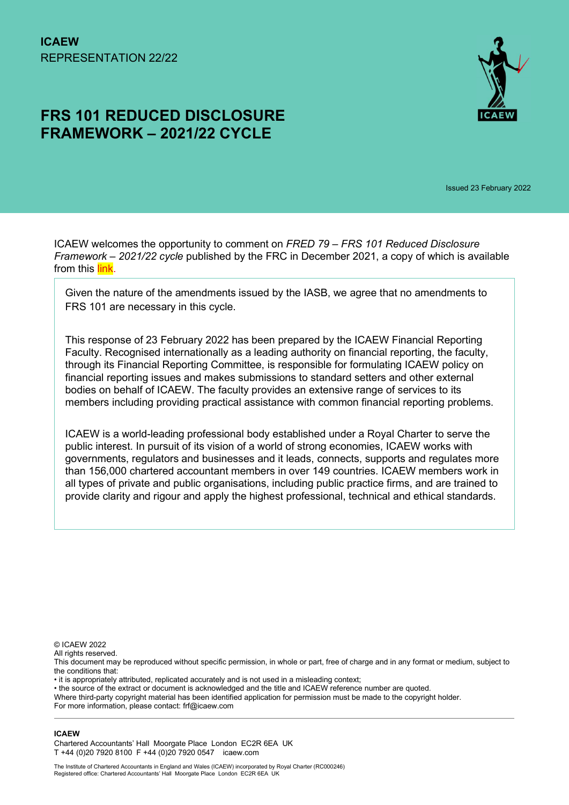# FRS 101 REDUCED DISCLOSURE FRAMEWORK – 2021/22 CYCLE



Issued 23 February 2022

ICAEW welcomes the opportunity to comment on FRED 79 – FRS 101 Reduced Disclosure Framework – 2021/22 cycle published by the FRC in December 2021, a copy of which is available from this link.

Given the nature of the amendments issued by the IASB, we agree that no amendments to FRS 101 are necessary in this cycle.

This response of 23 February 2022 has been prepared by the ICAEW Financial Reporting Faculty. Recognised internationally as a leading authority on financial reporting, the faculty, through its Financial Reporting Committee, is responsible for formulating ICAEW policy on financial reporting issues and makes submissions to standard setters and other external bodies on behalf of ICAEW. The faculty provides an extensive range of services to its members including providing practical assistance with common financial reporting problems.

ICAEW is a world-leading professional body established under a Royal Charter to serve the public interest. In pursuit of its vision of a world of strong economies, ICAEW works with governments, regulators and businesses and it leads, connects, supports and regulates more than 156,000 chartered accountant members in over 149 countries. ICAEW members work in all types of private and public organisations, including public practice firms, and are trained to provide clarity and rigour and apply the highest professional, technical and ethical standards.

© ICAEW 2022

All rights reserved.

This document may be reproduced without specific permission, in whole or part, free of charge and in any format or medium, subject to the conditions that:

• it is appropriately attributed, replicated accurately and is not used in a misleading context;

• the source of the extract or document is acknowledged and the title and ICAEW reference number are quoted.

Where third-party copyright material has been identified application for permission must be made to the copyright holder. For more information, please contact: frf@icaew.com

#### ICAEW

Chartered Accountants' Hall Moorgate Place London EC2R 6EA UK T +44 (0)20 7920 8100 F +44 (0)20 7920 0547 icaew.com